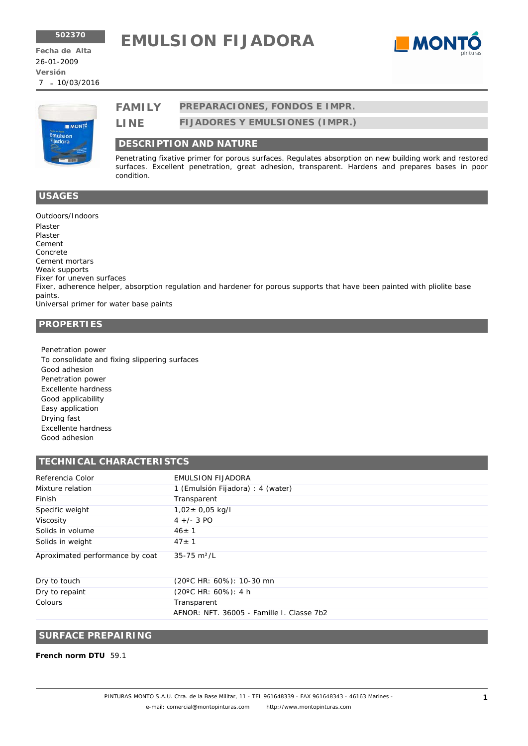# **<sup>502370</sup> EMULSION FIJADORA**





# **FAMILY PREPARACIONES, FONDOS E IMPR.**

**FIJADORES Y EMULSIONES (IMPR.) LINE**

# **DESCRIPTION AND NATURE**

Penetrating fixative primer for porous surfaces. Regulates absorption on new building work and restored surfaces. Excellent penetration, great adhesion, transparent. Hardens and prepares bases in poor condition.

#### **USAGES**

Outdoors/Indoors Plaster Plaster Cement Concrete Cement mortars Weak supports Fixer for uneven surfaces Fixer, adherence helper, absorption regulation and hardener for porous supports that have been painted with pliolite base paints. Universal primer for water base paints

# **PROPERTIES**

Penetration power To consolidate and fixing slippering surfaces Good adhesion Penetration power Excellente hardness Good applicability Easy application Drying fast Excellente hardness Good adhesion

#### **TECHNICAL CHARACTERISTCS**

| Referencia Color                | <b>EMULSION FIJADORA</b>            |
|---------------------------------|-------------------------------------|
| Mixture relation                | 1 (Emulsión Fijadora) : 4 (water)   |
| Finish                          | Transparent                         |
| Specific weight                 | $1,02 \pm 0,05$ kg/l                |
| Viscosity                       | $4 +/- 3$ PO                        |
| Solids in volume                | $46 \pm 1$                          |
| Solids in weight                | $47 + 1$                            |
| Aproximated performance by coat | $35 - 75$ m <sup>2</sup> /L         |
| .                               | $(0.000110 \times 0.01)$ $(0.00010$ |

| Dry to touch   | (20°C HR: 60%): 10-30 mn                  |
|----------------|-------------------------------------------|
| Dry to repaint | $(20^{\circ}$ C HR: 60%): 4 h             |
| Colours        | Transparent                               |
|                | AFNOR: NFT, 36005 - Famille I, Classe 7b2 |

# **SURFACE PREPAIRING**

**French norm DTU** 59.1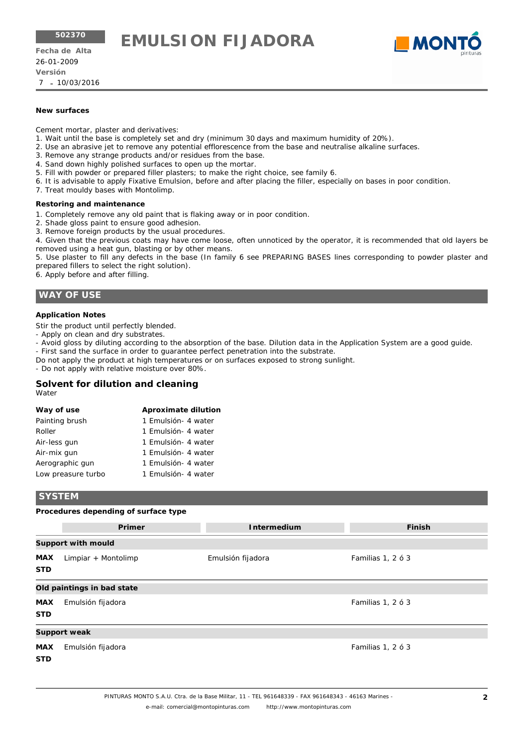**<sup>502370</sup> EMULSION FIJADORA**

26-01-2009 7 10/03/2016 - **Versión Fecha de Alta**



#### **New surfaces**

Cement mortar, plaster and derivatives:

- 1. Wait until the base is completely set and dry (minimum 30 days and maximum humidity of 20%).
- 2. Use an abrasive jet to remove any potential efflorescence from the base and neutralise alkaline surfaces.
- 3. Remove any strange products and/or residues from the base.
- 4. Sand down highly polished surfaces to open up the mortar.
- 5. Fill with powder or prepared filler plasters; to make the right choice, see family 6.
- 6. It is advisable to apply Fixative Emulsion, before and after placing the filler, especially on bases in poor condition.
- 7. Treat mouldy bases with Montolimp.

#### **Restoring and maintenance**

- 1. Completely remove any old paint that is flaking away or in poor condition.
- 2. Shade gloss paint to ensure good adhesion.
- 3. Remove foreign products by the usual procedures.

4. Given that the previous coats may have come loose, often unnoticed by the operator, it is recommended that old layers be removed using a heat gun, blasting or by other means.

5. Use plaster to fill any defects in the base (In family 6 see PREPARING BASES lines corresponding to powder plaster and prepared fillers to select the right solution).

6. Apply before and after filling.

# **WAY OF USE**

#### **Application Notes**

Stir the product until perfectly blended.

- Apply on clean and dry substrates.
- Avoid gloss by diluting according to the absorption of the base. Dilution data in the Application System are a good guide.
- First sand the surface in order to guarantee perfect penetration into the substrate.
- Do not apply the product at high temperatures or on surfaces exposed to strong sunlight.

- Do not apply with relative moisture over 80%.

# **Solvent for dilution and cleaning**

**Way of use** Painting brush

| <b>Aproximate dilution</b> |
|----------------------------|
| 1 Emulsión- 4 water        |

| Roller       | 1 Emulsión- 4 water |
|--------------|---------------------|
| Air-less gun | 1 Emulsión- 4 water |

| Air-mix gun     | 1 Emulsión- 4 water |
|-----------------|---------------------|
| Aerographic qun | 1 Emulsión- 4 water |

| Herographic guit   | T EINUSION-4 WALCH  |  |
|--------------------|---------------------|--|
| Low preasure turbo | 1 Emulsión- 4 water |  |

#### **SYSTEM**

#### **Procedures depending of surface type**

|                            | Primer                    | <b>Intermedium</b> | <b>Finish</b>     |  |  |  |
|----------------------------|---------------------------|--------------------|-------------------|--|--|--|
|                            | <b>Support with mould</b> |                    |                   |  |  |  |
| <b>MAX</b><br><b>STD</b>   | Limpiar + Montolimp       | Emulsión fijadora  | Familias 1, 2 ó 3 |  |  |  |
| Old paintings in bad state |                           |                    |                   |  |  |  |
| <b>MAX</b><br><b>STD</b>   | Emulsión fijadora         |                    | Familias 1, 2 ó 3 |  |  |  |
|                            | Support weak              |                    |                   |  |  |  |
| <b>MAX</b><br><b>STD</b>   | Emulsión fijadora         |                    | Familias 1, 2 ó 3 |  |  |  |